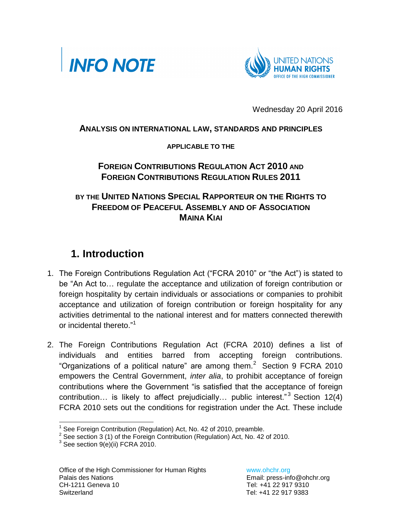



Wednesday 20 April 2016

#### **ANALYSIS ON INTERNATIONAL LAW, STANDARDS AND PRINCIPLES**

#### **APPLICABLE TO THE**

### **FOREIGN CONTRIBUTIONS REGULATION ACT 2010 AND FOREIGN CONTRIBUTIONS REGULATION RULES 2011**

### **BY THE UNITED NATIONS SPECIAL RAPPORTEUR ON THE RIGHTS TO FREEDOM OF PEACEFUL ASSEMBLY AND OF ASSOCIATION MAINA KIAI**

## **1. Introduction**

- 1. The Foreign Contributions Regulation Act ("FCRA 2010" or "the Act") is stated to be "An Act to… regulate the acceptance and utilization of foreign contribution or foreign hospitality by certain individuals or associations or companies to prohibit acceptance and utilization of foreign contribution or foreign hospitality for any activities detrimental to the national interest and for matters connected therewith or incidental thereto."<sup>1</sup>
- 2. The Foreign Contributions Regulation Act (FCRA 2010) defines a list of individuals and entities barred from accepting foreign contributions. "Organizations of a political nature" are among them. $2$  Section 9 FCRA 2010 empowers the Central Government, *inter alia*, to prohibit acceptance of foreign contributions where the Government "is satisfied that the acceptance of foreign contribution... is likely to affect prejudicially... public interest." $3$  Section 12(4) FCRA 2010 sets out the conditions for registration under the Act. These include

l

<sup>&</sup>lt;sup>1</sup> See Foreign Contribution (Regulation) Act, No. 42 of 2010, preamble.

 $2$  See section 3 (1) of the Foreign Contribution (Regulation) Act, No. 42 of 2010.

 $3$  See section 9(e)(ii) FCRA 2010.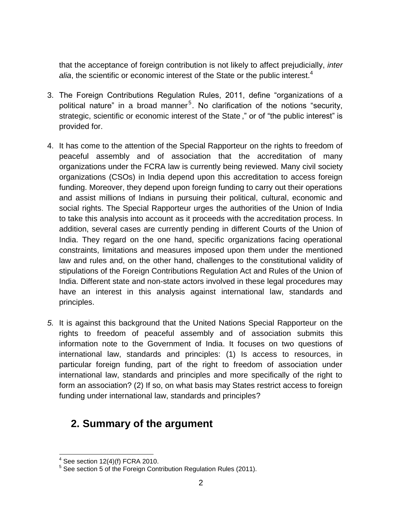that the acceptance of foreign contribution is not likely to affect prejudicially, *inter*  alia, the scientific or economic interest of the State or the public interest.<sup>4</sup>

- 3. The Foreign Contributions Regulation Rules, 2011, define "organizations of a political nature" in a broad manner<sup>5</sup>. No clarification of the notions "security, strategic, scientific or economic interest of the State ," or of "the public interest" is provided for.
- 4. It has come to the attention of the Special Rapporteur on the rights to freedom of peaceful assembly and of association that the accreditation of many organizations under the FCRA law is currently being reviewed. Many civil society organizations (CSOs) in India depend upon this accreditation to access foreign funding. Moreover, they depend upon foreign funding to carry out their operations and assist millions of Indians in pursuing their political, cultural, economic and social rights. The Special Rapporteur urges the authorities of the Union of India to take this analysis into account as it proceeds with the accreditation process. In addition, several cases are currently pending in different Courts of the Union of India. They regard on the one hand, specific organizations facing operational constraints, limitations and measures imposed upon them under the mentioned law and rules and, on the other hand, challenges to the constitutional validity of stipulations of the Foreign Contributions Regulation Act and Rules of the Union of India. Different state and non-state actors involved in these legal procedures may have an interest in this analysis against international law, standards and principles.
- *5.* It is against this background that the United Nations Special Rapporteur on the rights to freedom of peaceful assembly and of association submits this information note to the Government of India. It focuses on two questions of international law, standards and principles: (1) Is access to resources, in particular foreign funding, part of the right to freedom of association under international law, standards and principles and more specifically of the right to form an association? (2) If so, on what basis may States restrict access to foreign funding under international law, standards and principles?

## **2. Summary of the argument**

 4 See section 12(4)(f) FCRA 2010. 5 See section 5 of the Foreign Contribution Regulation Rules (2011).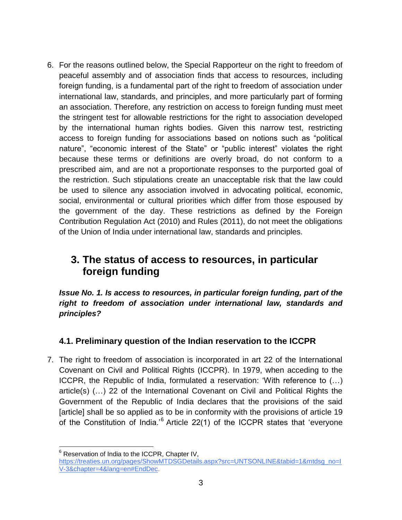6. For the reasons outlined below, the Special Rapporteur on the right to freedom of peaceful assembly and of association finds that access to resources, including foreign funding, is a fundamental part of the right to freedom of association under international law, standards, and principles, and more particularly part of forming an association. Therefore, any restriction on access to foreign funding must meet the stringent test for allowable restrictions for the right to association developed by the international human rights bodies. Given this narrow test, restricting access to foreign funding for associations based on notions such as "political nature", "economic interest of the State" or "public interest" violates the right because these terms or definitions are overly broad, do not conform to a prescribed aim, and are not a proportionate responses to the purported goal of the restriction. Such stipulations create an unacceptable risk that the law could be used to silence any association involved in advocating political, economic, social, environmental or cultural priorities which differ from those espoused by the government of the day. These restrictions as defined by the Foreign Contribution Regulation Act (2010) and Rules (2011), do not meet the obligations of the Union of India under international law, standards and principles.

# **3. The status of access to resources, in particular foreign funding**

*Issue No. 1. Is access to resources, in particular foreign funding, part of the right to freedom of association under international law, standards and principles?*

### **4.1. Preliminary question of the Indian reservation to the ICCPR**

7. The right to freedom of association is incorporated in art 22 of the International Covenant on Civil and Political Rights (ICCPR). In 1979, when acceding to the ICCPR, the Republic of India, formulated a reservation: 'With reference to (…) article(s) (…) 22 of the International Covenant on Civil and Political Rights the Government of the Republic of India declares that the provisions of the said [article] shall be so applied as to be in conformity with the provisions of article 19 of the Constitution of India.<sup>'6</sup> Article 22(1) of the ICCPR states that 'everyone

<sup>&</sup>lt;sup>6</sup> Reservation of India to the ICCPR, Chapter IV, https://treaties.un.org/pages/ShowMTDSGDetails.aspx?src=UNTSONLINE&tabid=1&mtdsq\_no=I [V-3&chapter=4&lang=en#EndDec.](https://treaties.un.org/pages/ShowMTDSGDetails.aspx?src=UNTSONLINE&tabid=1&mtdsg_no=IV-3&chapter=4&lang=en#EndDec)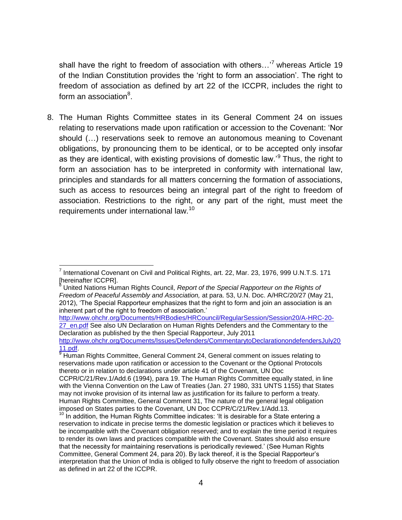shall have the right to freedom of association with others...'<sup>7</sup> whereas Article 19 of the Indian Constitution provides the 'right to form an association'. The right to freedom of association as defined by art 22 of the ICCPR, includes the right to form an association<sup>8</sup>.

8. The Human Rights Committee states in its General Comment 24 on issues relating to reservations made upon ratification or accession to the Covenant: 'Nor should (…) reservations seek to remove an autonomous meaning to Covenant obligations, by pronouncing them to be identical, or to be accepted only insofar as they are identical, with existing provisions of domestic law.'<sup>9</sup> Thus, the right to form an association has to be interpreted in conformity with international law, principles and standards for all matters concerning the formation of associations, such as access to resources being an integral part of the right to freedom of association. Restrictions to the right, or any part of the right, must meet the requirements under international law.<sup>10</sup>

[http://www.ohchr.org/Documents/HRBodies/HRCouncil/RegularSession/Session20/A-HRC-20-](http://www.ohchr.org/Documents/HRBodies/HRCouncil/RegularSession/Session20/A-HRC-20-27_en.pdf) [27\\_en.pdf](http://www.ohchr.org/Documents/HRBodies/HRCouncil/RegularSession/Session20/A-HRC-20-27_en.pdf) See also UN Declaration on Human Rights Defenders and the Commentary to the Declaration as published by the then Special Rapporteur, July 2011 [http://www.ohchr.org/Documents/Issues/Defenders/CommentarytoDeclarationondefendersJuly20](http://www.ohchr.org/Documents/Issues/Defenders/CommentarytoDeclarationondefendersJuly2011.pdf) [11.pdf.](http://www.ohchr.org/Documents/Issues/Defenders/CommentarytoDeclarationondefendersJuly2011.pdf)

 $\overline{a}$ <sup>7</sup> International Covenant on Civil and Political Rights, art. 22, Mar. 23, 1976, 999 U.N.T.S. 171 Shereinafter ICCPR].

<sup>8</sup> United Nations Human Rights Council, *Report of the Special Rapporteur on the Rights of Freedom of Peaceful Assembly and Association,* at para. 53, U.N. Doc. A/HRC/20/27 (May 21, 2012), 'The Special Rapporteur emphasizes that the right to form and join an association is an inherent part of the right to freedom of association.'

<sup>9</sup> Human Rights Committee, General Comment 24, General comment on issues relating to reservations made upon ratification or accession to the Covenant or the Optional Protocols thereto or in relation to declarations under article 41 of the Covenant, UN Doc CCPR/C/21/Rev.1/Add.6 (1994), para 19. The Human Rights Committee equally stated, in line with the Vienna Convention on the Law of Treaties (Jan. 27 1980, 331 UNTS 1155) that States may not invoke provision of its internal law as justification for its failure to perform a treaty. Human Rights Committee, General Comment 31, The nature of the general legal obligation imposed on States parties to the Covenant, UN Doc CCPR/C/21/Rev.1/Add.13.

 $10$  In addition, the Human Rights Committee indicates: 'It is desirable for a State entering a reservation to indicate in precise terms the domestic legislation or practices which it believes to be incompatible with the Covenant obligation reserved; and to explain the time period it requires to render its own laws and practices compatible with the Covenant. States should also ensure that the necessity for maintaining reservations is periodically reviewed.' (See Human Rights Committee, General Comment 24, para 20). By lack thereof, it is the Special Rapporteur's interpretation that the Union of India is obliged to fully observe the right to freedom of association as defined in art 22 of the ICCPR.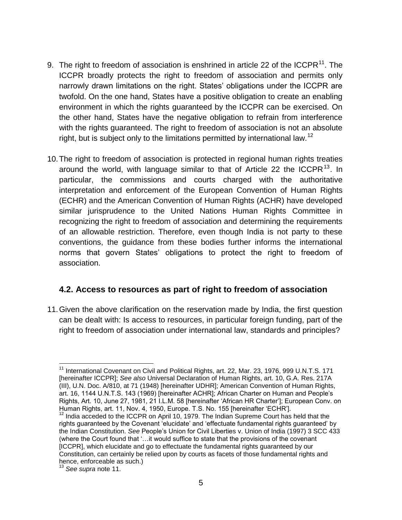- <span id="page-4-0"></span>9. The right to freedom of association is enshrined in article 22 of the ICCPR<sup>11</sup>. The ICCPR broadly protects the right to freedom of association and permits only narrowly drawn limitations on the right. States' obligations under the ICCPR are twofold. On the one hand, States have a positive obligation to create an enabling environment in which the rights guaranteed by the ICCPR can be exercised. On the other hand, States have the negative obligation to refrain from interference with the rights guaranteed. The right to freedom of association is not an absolute right, but is subject only to the limitations permitted by international law.<sup>12</sup>
- 10.The right to freedom of association is protected in regional human rights treaties around the world, with language similar to that of Article 22 the ICCPR<sup>13</sup>. In particular, the commissions and courts charged with the authoritative interpretation and enforcement of the European Convention of Human Rights (ECHR) and the American Convention of Human Rights (ACHR) have developed similar jurisprudence to the United Nations Human Rights Committee in recognizing the right to freedom of association and determining the requirements of an allowable restriction. Therefore, even though India is not party to these conventions, the guidance from these bodies further informs the international norms that govern States' obligations to protect the right to freedom of association.

#### **4.2. Access to resources as part of right to freedom of association**

11.Given the above clarification on the reservation made by India, the first question can be dealt with: Is access to resources, in particular foreign funding, part of the right to freedom of association under international law, standards and principles?

l <sup>11</sup> International Covenant on Civil and Political Rights, art. 22, Mar. 23, 1976, 999 U.N.T.S. 171 [hereinafter ICCPR]; *See also* Universal Declaration of Human Rights, art. 10, G.A. Res. 217A (III), U.N. Doc. A/810, at 71 (1948) [hereinafter UDHR]; American Convention of Human Rights, art. 16, 1144 U.N.T.S. 143 (1969) [hereinafter ACHR]; African Charter on Human and People's Rights, Art. 10, June 27, 1981, 21 I.L.M. 58 [hereinafter 'African HR Charter']; European Conv. on Human Rights, art. 11, Nov. 4, 1950, Europe. T.S. No. 155 [hereinafter 'ECHR'].

<sup>&</sup>lt;sup>12</sup> India acceded to the ICCPR on April 10, 1979. The Indian Supreme Court has held that the rights guaranteed by the Covenant 'elucidate' and 'effectuate fundamental rights guaranteed' by the Indian Constitution. *See* People's Union for Civil Liberties v. Union of India (1997) 3 SCC 433 (where the Court found that '…it would suffice to state that the provisions of the covenant [ICCPR], which elucidate and go to effectuate the fundamental rights guaranteed by our Constitution, can certainly be relied upon by courts as facets of those fundamental rights and hence, enforceable as such.)

<sup>13</sup> *See supra* note [11.](#page-4-0)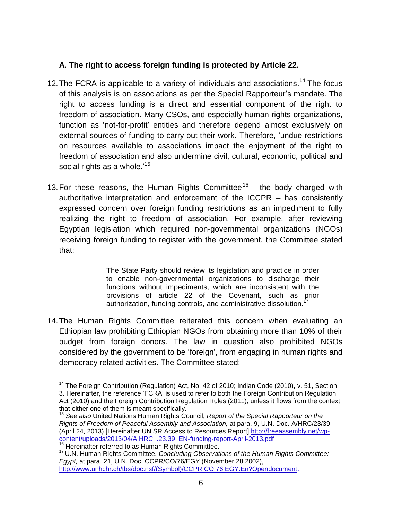#### **A. The right to access foreign funding is protected by Article 22.**

- 12. The FCRA is applicable to a variety of individuals and associations.<sup>14</sup> The focus of this analysis is on associations as per the Special Rapporteur's mandate. The right to access funding is a direct and essential component of the right to freedom of association. Many CSOs, and especially human rights organizations, function as 'not-for-profit' entities and therefore depend almost exclusively on external sources of funding to carry out their work. Therefore, 'undue restrictions on resources available to associations impact the enjoyment of the right to freedom of association and also undermine civil, cultural, economic, political and social rights as a whole.'<sup>15</sup>
- 13. For these reasons, the Human Rights Committee<sup>16</sup> the body charged with authoritative interpretation and enforcement of the ICCPR – has consistently expressed concern over foreign funding restrictions as an impediment to fully realizing the right to freedom of association. For example, after reviewing Egyptian legislation which required non-governmental organizations (NGOs) receiving foreign funding to register with the government, the Committee stated that:

The State Party should review its legislation and practice in order to enable non-governmental organizations to discharge their functions without impediments, which are inconsistent with the provisions of article 22 of the Covenant, such as prior authorization, funding controls, and administrative dissolution.

14.The Human Rights Committee reiterated this concern when evaluating an Ethiopian law prohibiting Ethiopian NGOs from obtaining more than 10% of their budget from foreign donors. The law in question also prohibited NGOs considered by the government to be 'foreign', from engaging in human rights and democracy related activities. The Committee stated:

 $\overline{\phantom{a}}$ <sup>14</sup> The Foreign Contribution (Regulation) Act, No. 42 of 2010; Indian Code (2010), v. 51, Section 3. Hereinafter, the reference 'FCRA' is used to refer to both the Foreign Contribution Regulation Act (2010) and the Foreign Contribution Regulation Rules (2011), unless it flows from the context that either one of them is meant specifically.

<sup>15</sup> *See also* United Nations Human Rights Council, *Report of the Special Rapporteur on the Rights of Freedom of Peaceful Assembly and Association,* at para. 9, U.N. Doc. A/HRC/23/39 (April 24, 2013) [Hereinafter UN SR Access to Resources Report] [http://freeassembly.net/wp](http://freeassembly.net/wp-content/uploads/2013/04/A.HRC_.23.39_EN-funding-report-April-2013.pdf)[content/uploads/2013/04/A.HRC\\_.23.39\\_EN-funding-report-April-2013.pdf](http://freeassembly.net/wp-content/uploads/2013/04/A.HRC_.23.39_EN-funding-report-April-2013.pdf)

<sup>&</sup>lt;sup>16</sup> Hereinafter referred to as Human Rights Committtee.

<sup>17</sup> U.N. Human Rights Committee, *Concluding Observations of the Human Rights Committee: Egypt,* at para. 21, U.N. Doc. CCPR/CO/76/EGY (November 28 2002), [http://www.unhchr.ch/tbs/doc.nsf/\(Symbol\)/CCPR.CO.76.EGY.En?Opendocument.](http://www.unhchr.ch/tbs/doc.nsf/(Symbol)/CCPR.CO.76.EGY.En?Opendocument)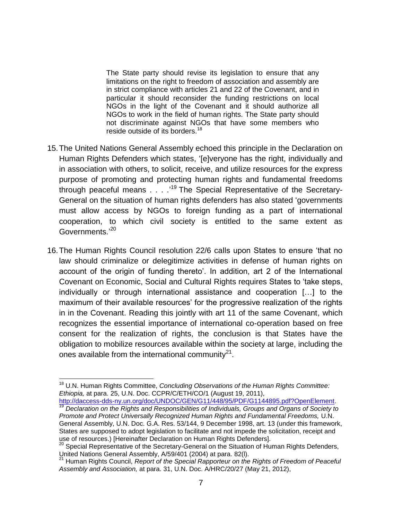The State party should revise its legislation to ensure that any limitations on the right to freedom of association and assembly are in strict compliance with articles 21 and 22 of the Covenant, and in particular it should reconsider the funding restrictions on local NGOs in the light of the Covenant and it should authorize all NGOs to work in the field of human rights. The State party should not discriminate against NGOs that have some members who reside outside of its borders.<sup>18</sup>

- 15.The United Nations General Assembly echoed this principle in the Declaration on Human Rights Defenders which states, '[e]veryone has the right, individually and in association with others, to solicit, receive, and utilize resources for the express purpose of promoting and protecting human rights and fundamental freedoms through peaceful means . . . .<sup>19</sup> The Special Representative of the Secretary-General on the situation of human rights defenders has also stated 'governments must allow access by NGOs to foreign funding as a part of international cooperation, to which civil society is entitled to the same extent as Governments.'<sup>20</sup>
- 16.The Human Rights Council resolution 22/6 calls upon States to ensure 'that no law should criminalize or delegitimize activities in defense of human rights on account of the origin of funding thereto'. In addition, art 2 of the International Covenant on Economic, Social and Cultural Rights requires States to 'take steps, individually or through international assistance and cooperation […] to the maximum of their available resources' for the progressive realization of the rights in in the Covenant. Reading this jointly with art 11 of the same Covenant, which recognizes the essential importance of international co-operation based on free consent for the realization of rights, the conclusion is that States have the obligation to mobilize resources available within the society at large, including the ones available from the international community $^{21}$ .

[http://daccess-dds-ny.un.org/doc/UNDOC/GEN/G11/448/95/PDF/G1144895.pdf?OpenElement.](http://daccess-dds-ny.un.org/doc/UNDOC/GEN/G11/448/95/PDF/G1144895.pdf?OpenElement) <sup>19</sup> *Declaration on the Rights and Responsibilities of Individuals, Groups and Organs of Society to Promote and Protect Universally Recognized Human Rights and Fundamental Freedoms,* U.N. General Assembly, U.N. Doc. G.A. Res. 53/144, 9 December 1998, art. 13 (under this framework, States are supposed to adopt legislation to facilitate and not impede the solicitation, receipt and use of resources.) [Hereinafter Declaration on Human Rights Defenders].

 $\overline{\phantom{a}}$ <sup>18</sup> U.N. Human Rights Committee, *Concluding Observations of the Human Rights Committee: Ethiopia,* at para. 25, U.N. Doc. CCPR/C/ETH/CO/1 (August 19, 2011),

<sup>&</sup>lt;sup>20</sup> Special Representative of the Secretary-General on the Situation of Human Rights Defenders, United Nations General Assembly, A/59/401 (2004) at para. 82(l).

<sup>21</sup> Human Rights Council, *Report of the Special Rapporteur on the Rights of Freedom of Peaceful Assembly and Association,* at para. 31, U.N. Doc. A/HRC/20/27 (May 21, 2012),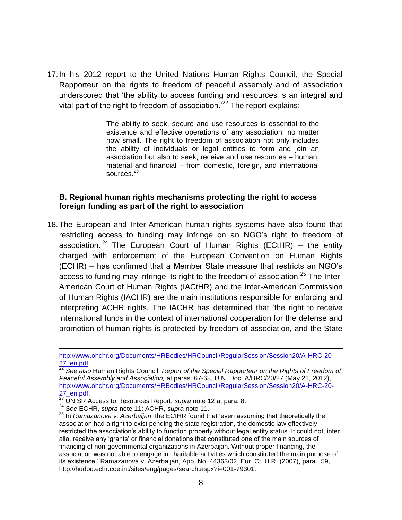17.In his 2012 report to the United Nations Human Rights Council, the Special Rapporteur on the rights to freedom of peaceful assembly and of association underscored that 'the ability to access funding and resources is an integral and vital part of the right to freedom of association.<sup>22</sup> The report explains:

> The ability to seek, secure and use resources is essential to the existence and effective operations of any association, no matter how small. The right to freedom of association not only includes the ability of individuals or legal entities to form and join an association but also to seek, receive and use resources – human, material and financial – from domestic, foreign, and international sources.<sup>23</sup>

#### **B. Regional human rights mechanisms protecting the right to access foreign funding as part of the right to association**

18.The European and Inter-American human rights systems have also found that restricting access to funding may infringe on an NGO's right to freedom of association. <sup>24</sup> The European Court of Human Rights (ECtHR) – the entity charged with enforcement of the European Convention on Human Rights (ECHR) – has confirmed that a Member State measure that restricts an NGO's access to funding may infringe its right to the freedom of association.<sup>25</sup> The Inter-American Court of Human Rights (IACtHR) and the Inter-American Commission of Human Rights (IACHR) are the main institutions responsible for enforcing and interpreting ACHR rights. The IACHR has determined that 'the right to receive international funds in the context of international cooperation for the defense and promotion of human rights is protected by freedom of association, and the State

[http://www.ohchr.org/Documents/HRBodies/HRCouncil/RegularSession/Session20/A-HRC-20-](http://www.ohchr.org/Documents/HRBodies/HRCouncil/RegularSession/Session20/A-HRC-20-27_en.pdf) [27\\_en.pdf.](http://www.ohchr.org/Documents/HRBodies/HRCouncil/RegularSession/Session20/A-HRC-20-27_en.pdf)

<sup>22</sup> *See also* Human Rights Council, *Report of the Special Rapporteur on the Rights of Freedom of Peaceful Assembly and Association,* at paras. 67-68, U.N. Doc. A/HRC/20/27 (May 21, 2012), [http://www.ohchr.org/Documents/HRBodies/HRCouncil/RegularSession/Session20/A-HRC-20-](http://www.ohchr.org/Documents/HRBodies/HRCouncil/RegularSession/Session20/A-HRC-20-27_en.pdf) 27 en.pdf.

<sup>23</sup> UN SR Access to Resources Report, *supra* note 12 at para. 8.

<sup>24</sup> *See* ECHR, *supra* note [11;](#page-4-0) ACHR, *supra* note [11.](#page-4-0)

<sup>25</sup> In *Ramazanova v. Azerbaijan*, the ECtHR found that 'even assuming that theoretically the association had a right to exist pending the state registration, the domestic law effectively restricted the association's ability to function properly without legal entity status. It could not, inter alia, receive any 'grants' or financial donations that constituted one of the main sources of financing of non-governmental organizations in Azerbaijan. Without proper financing, the association was not able to engage in charitable activities which constituted the main purpose of its existence.' Ramazanova v. Azerbaijan, App. No. 44363/02, Eur. Ct. H.R. (2007), para. 59, http://hudoc.echr.coe.int/sites/eng/pages/search.aspx?i=001-79301.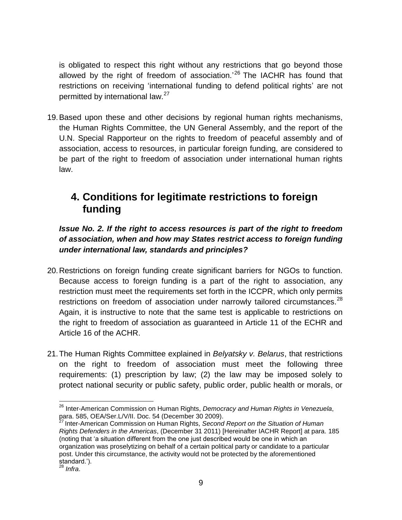is obligated to respect this right without any restrictions that go beyond those allowed by the right of freedom of association.<sup>'26</sup> The IACHR has found that restrictions on receiving 'international funding to defend political rights' are not permitted by international law.<sup>27</sup>

19.Based upon these and other decisions by regional human rights mechanisms, the Human Rights Committee, the UN General Assembly, and the report of the U.N. Special Rapporteur on the rights to freedom of peaceful assembly and of association, access to resources, in particular foreign funding, are considered to be part of the right to freedom of association under international human rights law.

## **4. Conditions for legitimate restrictions to foreign funding**

*Issue No. 2. If the right to access resources is part of the right to freedom of association, when and how may States restrict access to foreign funding under international law, standards and principles?* 

- 20.Restrictions on foreign funding create significant barriers for NGOs to function. Because access to foreign funding is a part of the right to association, any restriction must meet the requirements set forth in the ICCPR, which only permits restrictions on freedom of association under narrowly tailored circumstances. $^{28}$ Again, it is instructive to note that the same test is applicable to restrictions on the right to freedom of association as guaranteed in Article 11 of the ECHR and Article 16 of the ACHR.
- 21.The Human Rights Committee explained in *Belyatsky v. Belarus*, that restrictions on the right to freedom of association must meet the following three requirements: (1) prescription by law; (2) the law may be imposed solely to protect national security or public safety, public order, public health or morals, or

<sup>27</sup> Inter-American Commission on Human Rights, *Second Report on the Situation of Human Rights Defenders in the Americas*, (December 31 2011) [Hereinafter IACHR Report] at para. 185 (noting that 'a situation different from the one just described would be one in which an organization was proselytizing on behalf of a certain political party or candidate to a particular post. Under this circumstance, the activity would not be protected by the aforementioned standard.').

<sup>28</sup> *Infra*.

 $\overline{\phantom{a}}$ <sup>26</sup> Inter-American Commission on Human Rights, *Democracy and Human Rights in Venezuela*, para. 585, OEA/Ser.L/V/II. Doc. 54 (December 30 2009).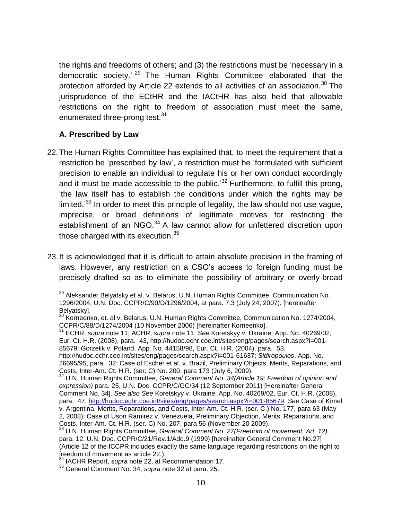the rights and freedoms of others; and (3) the restrictions must be 'necessary in a democratic society.'<sup>29</sup> The Human Rights Committee elaborated that the protection afforded by Article 22 extends to all activities of an association.<sup>30</sup> The jurisprudence of the ECtHR and the IACtHR has also held that allowable restrictions on the right to freedom of association must meet the same, enumerated three-prong test.<sup>31</sup>

#### <span id="page-9-0"></span>**A. Prescribed by Law**

- <span id="page-9-1"></span>22.The Human Rights Committee has explained that, to meet the requirement that a restriction be 'prescribed by law', a restriction must be 'formulated with sufficient precision to enable an individual to regulate his or her own conduct accordingly and it must be made accessible to the public.<sup>32</sup> Furthermore, to fulfill this prong, 'the law itself has to establish the conditions under which the rights may be limited.<sup>33</sup> In order to meet this principle of legality, the law should not use vague, imprecise, or broad definitions of legitimate motives for restricting the establishment of an NGO.<sup>34</sup> A law cannot allow for unfettered discretion upon those charged with its execution.<sup>35</sup>
- 23.It is acknowledged that it is difficult to attain absolute precision in the framing of laws. However, any restriction on a CSO's access to foreign funding must be precisely drafted so as to eliminate the possibility of arbitrary or overly-broad

 $\overline{\phantom{a}}$ <sup>29</sup> Aleksander Belyatsky et al. v. Belarus, U.N. Human Rights Committee, Communication No. 1296/2004, U.N. Doc. CCPR/C/90/D/1296/2004, at para. 7.3 (July 24, 2007). [hereinafter Belyatsky].

<sup>&</sup>lt;sup>30</sup> Korneenko, et. al v. Belarus, U.N. Human Rights Committee, Communication No. 1274/2004, CCPR/C/88/D/1274/2004 (10 November 2006) [hereinafter Korneenko].

<sup>31</sup> ECHR, *supra* note [11;](#page-4-0) ACHR, *supra* note [11;](#page-4-0) *See* Koretskyy v. Ukraine, App. No. 40269/02, Eur. Ct. H.R. (2008), para. 43, http://hudoc.echr.coe.int/sites/eng/pages/search.aspx?i=001- 85679; Gorzelik v. Poland, App. No. 44158/98, Eur. Ct. H.R. (2004), para. 53,

http://hudoc.echr.coe.int/sites/eng/pages/search.aspx?i=001-61637; *Sidiropoulos*, App. No. 26695/95, para. 32; Case of Escher et al. v. Brazil, Preliminary Objects, Merits, Reparations, and Costs, Inter-Am. Ct. H.R. (ser. C) No. 200, para 173 (July 6, 2009).

<sup>32</sup> U.N. Human Rights Committee, *General Comment No. 34(Article 19: Freedom of opinion and expression)* para. 25, U.N. Doc. CCPR/C/GC/34 (12 September 2011) [Hereinafter General Comment No. 34]. *See also See* Koretskyy v. Ukraine, App. No. 40269/02, Eur. Ct. H.R. (2008), para. 47, [http://hudoc.echr.coe.int/sites/eng/pages/search.aspx?i=001-85679.](http://hudoc.echr.coe.int/sites/eng/pages/search.aspx?i=001-85679) *See* Case of Kimel v. Argentina, Merits, Reparations, and Costs, Inter-Am. Ct. H.R. (ser. C.) No. 177, para 63 (May 2, 2008); Case of Uson Ramirez v. Venezuela, Preliminary Objection, Merits, Reparations, and Costs, Inter-Am. Ct. H.R. (ser. C) No. 207, para 56 (November 20 2009).

<sup>33</sup> U.N. Human Rights Committee, *General Comment No. 27(Freedom of movement, Art. 12),* para. 12, U.N. Doc. CCPR/C/21/Rev.1/Add.9 (1999) [hereinafter General Comment No.27] (Article 12 of the ICCPR includes exactly the same language regarding restrictions on the right to freedom of movement as article 22.).

<sup>34</sup> IACHR Report, *supra* note 22, at Recommendation 17.

<sup>35</sup> General Comment No. 34, *supra* note [32](#page-9-0) at para. 25.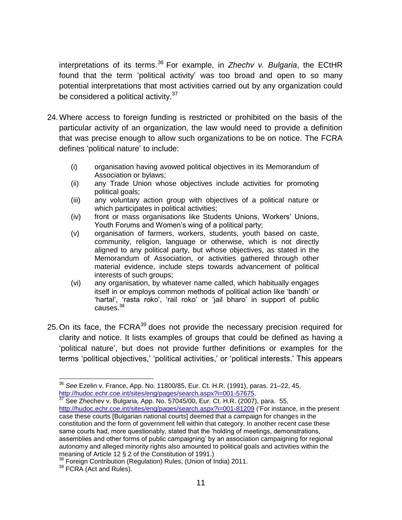interpretations of its terms.<sup>36</sup> For example, in *Zhechv v. Bulgaria*, the ECtHR found that the term 'political activity' was too broad and open to so many potential interpretations that most activities carried out by any organization could be considered a political activity.<sup>37</sup>

- 24.Where access to foreign funding is restricted or prohibited on the basis of the particular activity of an organization, the law would need to provide a definition that was precise enough to allow such organizations to be on notice. The FCRA defines 'political nature' to include:
	- (i) organisation having avowed political objectives in its Memorandum of Association or bylaws;
	- (ii) any Trade Union whose objectives include activities for promoting political goals;
	- (iii) any voluntary action group with objectives of a political nature or which participates in political activities;
	- (iv) front or mass organisations like Students Unions, Workers' Unions, Youth Forums and Women's wing of a political party;
	- (v) organisation of farmers, workers, students, youth based on caste, community, religion, language or otherwise, which is not directly aligned to any political party, but whose objectives, as stated in the Memorandum of Association, or activities gathered through other material evidence, include steps towards advancement of political interests of such groups;
	- (vi) any organisation, by whatever name called, which habitually engages itself in or employs common methods of political action like 'bandh' or 'hartal', 'rasta roko', 'rail roko' or 'jail bharo' in support of public causes.<sup>38</sup>
- 25. On its face, the FCRA<sup>39</sup> does not provide the necessary precision required for clarity and notice. It lists examples of groups that could be defined as having a 'political nature', but does not provide further definitions or examples for the terms 'political objectives,' 'political activities,' or 'political interests.' This appears

 $\overline{\phantom{a}}$ <sup>36</sup> *See* Ezelin v. France, App. No. 11800/85, Eur. Ct. H.R. (1991), paras. 21–22, 45, [http://hudoc.echr.coe.int/sites/eng/pages/search.aspx?i=001-57675.](http://hudoc.echr.coe.int/sites/eng/pages/search.aspx?i=001-57675)

 $37$  See Zhechev v. Bulgaria, App. No. 57045/00, Eur. Ct. H.R. (2007), para. 55, <http://hudoc.echr.coe.int/sites/eng/pages/search.aspx?i=001-81209> ('For instance, in the present case these courts [Bulgarian national courts] deemed that a campaign for changes in the constitution and the form of government fell within that category. In another recent case these same courts had, more questionably, stated that the 'holding of meetings, demonstrations, assemblies and other forms of public campaigning' by an association campaigning for regional autonomy and alleged minority rights also amounted to political goals and activities within the meaning of Article 12 § 2 of the Constitution of 1991.)

<sup>&</sup>lt;sup>3</sup> Foreign Contribution (Regulation) Rules, (Union of India) 2011.

<sup>&</sup>lt;sup>39</sup> FCRA (Act and Rules).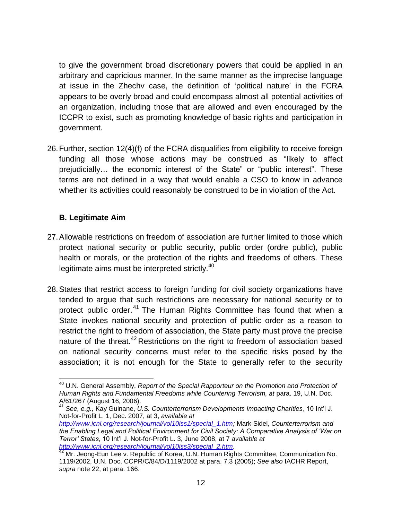to give the government broad discretionary powers that could be applied in an arbitrary and capricious manner. In the same manner as the imprecise language at issue in the Zhechv case, the definition of 'political nature' in the FCRA appears to be overly broad and could encompass almost all potential activities of an organization, including those that are allowed and even encouraged by the ICCPR to exist, such as promoting knowledge of basic rights and participation in government.

26.Further, section 12(4)(f) of the FCRA disqualifies from eligibility to receive foreign funding all those whose actions may be construed as "likely to affect prejudicially… the economic interest of the State" or "public interest". These terms are not defined in a way that would enable a CSO to know in advance whether its activities could reasonably be construed to be in violation of the Act.

### **B. Legitimate Aim**

- 27.Allowable restrictions on freedom of association are further limited to those which protect national security or public security, public order (ordre public), public health or morals, or the protection of the rights and freedoms of others. These legitimate aims must be interpreted strictly. $40$
- 28.States that restrict access to foreign funding for civil society organizations have tended to argue that such restrictions are necessary for national security or to protect public order.<sup>41</sup> The Human Rights Committee has found that when a State invokes national security and protection of public order as a reason to restrict the right to freedom of association, the State party must prove the precise nature of the threat.<sup>42</sup> Restrictions on the right to freedom of association based on national security concerns must refer to the specific risks posed by the association; it is not enough for the State to generally refer to the security

 $\overline{\phantom{a}}$ <sup>40</sup> U.N. General Assembly, *Report of the Special Rapporteur on the Promotion and Protection of*  Human Rights and Fundamental Freedoms while Countering Terrorism, at para. 19, U.N. Doc. A/61/267 (August 16, 2006).

<sup>41</sup> *See, e.g.,* Kay Guinane, *U.S. Counterterrorism Developments Impacting Charities*, 10 Int'l J. Not-for-Profit L. 1, Dec. 2007, at 3, *available at* 

*[http://www.icnl.org/research/journal/vol10iss1/special\\_1.htm;](http://www.icnl.org/research/journal/vol10iss1/special_1.htm)* Mark Sidel, *Counterterrorism and the Enabling Legal and Political Environment for Civil Society: A Comparative Analysis of 'War on Terror' States*, 10 Int'l J. Not-for-Profit L. 3, June 2008, at 7 *available at [http://www.icnl.org/research/journal/vol10iss3/special\\_2.htm.](http://www.icnl.org/research/journal/vol10iss3/special_2.htm)*

<sup>42</sup> Mr. Jeong-Eun Lee v. Republic of Korea, U.N. Human Rights Committee, Communication No. 1119/2002, U.N. Doc. CCPR/C/84/D/1119/2002 at para. 7.3 (2005); *See also* IACHR Report, *supra* note 22, at para. 166.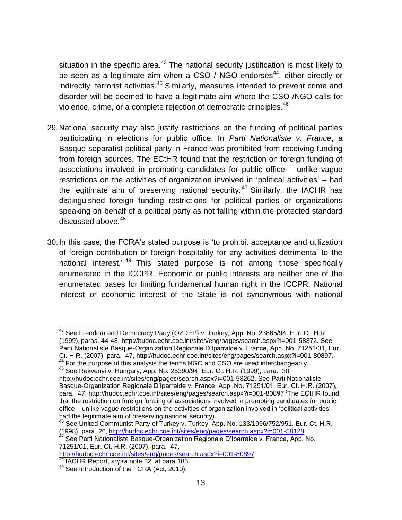situation in the specific area. $43$  The national security justification is most likely to be seen as a legitimate aim when a CSO / NGO endorses $44$ , either directly or indirectly, terrorist activities.<sup>45</sup> Similarly, measures intended to prevent crime and disorder will be deemed to have a legitimate aim where the CSO /NGO calls for violence, crime, or a complete rejection of democratic principles.<sup>46</sup>

- 29.National security may also justify restrictions on the funding of political parties participating in elections for public office. In *Parti Nationaliste v. France*, a Basque separatist political party in France was prohibited from receiving funding from foreign sources. The ECtHR found that the restriction on foreign funding of associations involved in promoting candidates for public office – unlike vague restrictions on the activities of organization involved in 'political activities' – had the legitimate aim of preserving national security.<sup>47</sup> Similarly, the IACHR has distinguished foreign funding restrictions for political parties or organizations speaking on behalf of a political party as not falling within the protected standard discussed above.<sup>48</sup>
- 30.In this case, the FCRA's stated purpose is 'to prohibit acceptance and utilization of foreign contribution or foreign hospitality for any activities detrimental to the national interest.<sup>' 49</sup> This stated purpose is not among those specifically enumerated in the ICCPR. Economic or public interests are neither one of the enumerated bases for limiting fundamental human right in the ICCPR. National interest or economic interest of the State is not synonymous with national

 $^{43}$  See Freedom and Democracy Party (ÖZDEP) v. Turkey, App. No. 23885/94, Eur. Ct. H.R. (1999), paras. 44-48, [http://hudoc.echr.coe.int/sites/eng/pages/search.aspx?i=001-58372.](http://hudoc.echr.coe.int/sites/eng/pages/search.aspx?i=001-58372) See Parti Nationaliste Basque-Organization Regionale D'Iparralde v. France, App. No. 71251/01, Eur. Ct. H.R. (2007), para. 47, [http://hudoc.echr.coe.int/sites/eng/pages/search.aspx?i=001-80897.](http://hudoc.echr.coe.int/sites/eng/pages/search.aspx?i=001-80897)

<sup>44</sup> For the purpose of this analysis the terms NGO and CSO are used interchangeably.

<sup>45</sup> See Rekvenyi v. Hungary, App. No. 25390/94, Eur. Ct. H.R. (1999), para. 30, [http://hudoc.echr.coe.int/sites/eng/pages/search.aspx?i=001-58262.](http://hudoc.echr.coe.int/sites/eng/pages/search.aspx?i=001-58262) See Parti Nationaliste Basque-Organization Regionale D'Iparralde v. France, App. No. 71251/01, Eur. Ct. H.R. (2007), para. 47,<http://hudoc.echr.coe.int/sites/eng/pages/search.aspx?i=001-80897> <sup>(</sup>The ECtHR found that the restriction on foreign funding of associations involved in promoting candidates for public office – unlike vague restrictions on the activities of organization involved in 'political activities' – had the legitimate aim of preserving national security).

<sup>46</sup> See United Communist Party of Turkey v. Turkey, App. No. 133/1996/752/951, Eur. Ct. H.R. (1998), para. 26, [http://hudoc.echr.coe.int/sites/eng/pages/search.aspx?i=001-58128.](http://hudoc.echr.coe.int/sites/eng/pages/search.aspx?i=001-58128)

<sup>47</sup> See Parti Nationaliste Basque-Organization Regionale D'Iparralde v. France, App. No. 71251/01, Eur. Ct. H.R. (2007), para. 47,

[http://hudoc.echr.coe.int/sites/eng/pages/search.aspx?i=001-80897.](http://hudoc.echr.coe.int/sites/eng/pages/search.aspx?i=001-80897)

<sup>48</sup> IACHR Report, *supra* note 22, at para 185.

<sup>&</sup>lt;sup>49</sup> See Introduction of the FCRA (Act, 2010).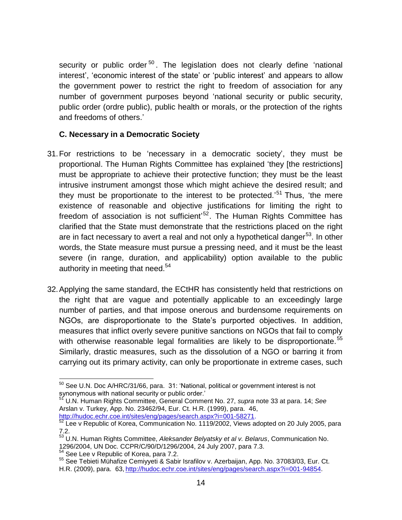security or public order<sup>50</sup>. The legislation does not clearly define 'national interest', 'economic interest of the state' or 'public interest' and appears to allow the government power to restrict the right to freedom of association for any number of government purposes beyond 'national security or public security, public order (ordre public), public health or morals, or the protection of the rights and freedoms of others.'

#### **C. Necessary in a Democratic Society**

- 31.For restrictions to be 'necessary in a democratic society', they must be proportional. The Human Rights Committee has explained 'they [the restrictions] must be appropriate to achieve their protective function; they must be the least intrusive instrument amongst those which might achieve the desired result; and they must be proportionate to the interest to be protected.'<sup>51</sup> Thus, 'the mere existence of reasonable and objective justifications for limiting the right to freedom of association is not sufficient<sup>,52</sup>. The Human Rights Committee has clarified that the State must demonstrate that the restrictions placed on the right are in fact necessary to avert a real and not only a hypothetical danger<sup>53</sup>. In other words, the State measure must pursue a pressing need, and it must be the least severe (in range, duration, and applicability) option available to the public authority in meeting that need.<sup>54</sup>
- 32.Applying the same standard, the ECtHR has consistently held that restrictions on the right that are vague and potentially applicable to an exceedingly large number of parties, and that impose onerous and burdensome requirements on NGOs, are disproportionate to the State's purported objectives. In addition, measures that inflict overly severe punitive sanctions on NGOs that fail to comply with otherwise reasonable legal formalities are likely to be disproportionate.<sup>55</sup> Similarly, drastic measures, such as the dissolution of a NGO or barring it from carrying out its primary activity, can only be proportionate in extreme cases, such

 $\overline{a}$  $^{50}$  See U.N. Doc A/HRC/31/66, para. 31: 'National, political or government interest is not synonymous with national security or public order.'

<sup>51</sup> U.N. Human Rights Committee, General Comment No. 27, *supra* note [33](#page-9-1) at para. 14; *See* Arslan v. Turkey, App. No. 23462/94, Eur. Ct. H.R. (1999), para. 46, [http://hudoc.echr.coe.int/sites/eng/pages/search.aspx?i=001-58271.](http://hudoc.echr.coe.int/sites/eng/pages/search.aspx?i=001-58271)

 $^{52}$  Lee v Republic of Korea, Communication No. 1119/2002, Views adopted on 20 July 2005, para 7.2.

<sup>53</sup> U.N. Human Rights Committee, *Aleksander Belyatsky et al v. Belarus*, Communication No. 1296/2004, UN Doc. CCPR/C/90/D/1296/2004, 24 July 2007, para 7.3.

<sup>&</sup>lt;sup>54</sup> See Lee v Republic of Korea, para 7.2.

<sup>55</sup> See Tebieti Mühafize Cemiyyeti & Sabir Israfilov v. Azerbaijan, App. No. 37083/03, Eur. Ct. H.R. (2009), para. 63, [http://hudoc.echr.coe.int/sites/eng/pages/search.aspx?i=001-94854.](http://hudoc.echr.coe.int/sites/eng/pages/search.aspx?i=001-94854)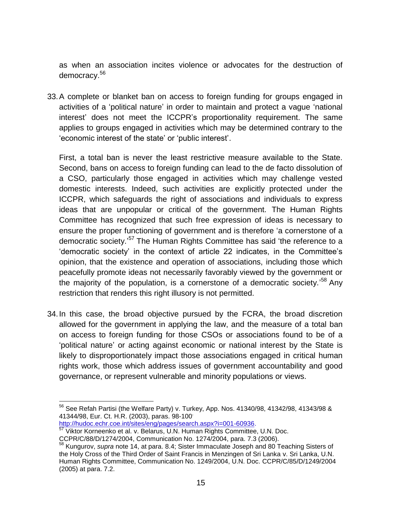as when an association incites violence or advocates for the destruction of democracy.<sup>56</sup>

33.A complete or blanket ban on access to foreign funding for groups engaged in activities of a 'political nature' in order to maintain and protect a vague 'national interest' does not meet the ICCPR's proportionality requirement. The same applies to groups engaged in activities which may be determined contrary to the 'economic interest of the state' or 'public interest'.

First, a total ban is never the least restrictive measure available to the State. Second, bans on access to foreign funding can lead to the de facto dissolution of a CSO, particularly those engaged in activities which may challenge vested domestic interests. Indeed, such activities are explicitly protected under the ICCPR, which safeguards the right of associations and individuals to express ideas that are unpopular or critical of the government. The Human Rights Committee has recognized that such free expression of ideas is necessary to ensure the proper functioning of government and is therefore 'a cornerstone of a democratic society.'<sup>57</sup> The Human Rights Committee has said 'the reference to a 'democratic society' in the context of article 22 indicates, in the Committee's opinion, that the existence and operation of associations, including those which peacefully promote ideas not necessarily favorably viewed by the government or the majority of the population, is a cornerstone of a democratic society.'<sup>58</sup> Any restriction that renders this right illusory is not permitted.

34.In this case, the broad objective pursued by the FCRA, the broad discretion allowed for the government in applying the law, and the measure of a total ban on access to foreign funding for those CSOs or associations found to be of a 'political nature' or acting against economic or national interest by the State is likely to disproportionately impact those associations engaged in critical human rights work, those which address issues of government accountability and good governance, or represent vulnerable and minority populations or views.

[http://hudoc.echr.coe.int/sites/eng/pages/search.aspx?i=001-60936.](http://hudoc.echr.coe.int/sites/eng/pages/search.aspx?i=001-60936) <sup>57</sup> Viktor Korneenko et al. v. Belarus, U.N. Human Rights Committee, U.N. Doc.

 $56$  See Refah Partisi (the Welfare Party) v. Turkey, App. Nos. 41340/98, 41342/98, 41343/98 & 41344/98, Eur. Ct. H.R. (2003), paras. 98-100,

CCPR/C/88/D/1274/2004, Communication No. 1274/2004, para. 7.3 (2006).

<sup>58</sup> Kungurov, *supra* note 14, at para. 8.4; Sister Immaculate Joseph and 80 Teaching Sisters of the Holy Cross of the Third Order of Saint Francis in Menzingen of Sri Lanka v. Sri Lanka, U.N. Human Rights Committee, Communication No. 1249/2004, U.N. Doc. CCPR/C/85/D/1249/2004 (2005) at para. 7.2.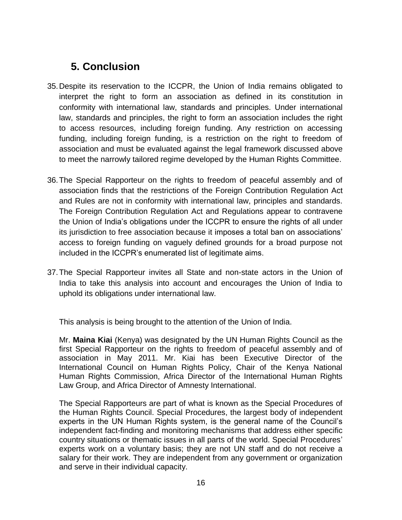# **5. Conclusion**

- 35.Despite its reservation to the ICCPR, the Union of India remains obligated to interpret the right to form an association as defined in its constitution in conformity with international law, standards and principles. Under international law, standards and principles, the right to form an association includes the right to access resources, including foreign funding. Any restriction on accessing funding, including foreign funding, is a restriction on the right to freedom of association and must be evaluated against the legal framework discussed above to meet the narrowly tailored regime developed by the Human Rights Committee.
- 36.The Special Rapporteur on the rights to freedom of peaceful assembly and of association finds that the restrictions of the Foreign Contribution Regulation Act and Rules are not in conformity with international law, principles and standards. The Foreign Contribution Regulation Act and Regulations appear to contravene the Union of India's obligations under the ICCPR to ensure the rights of all under its jurisdiction to free association because it imposes a total ban on associations' access to foreign funding on vaguely defined grounds for a broad purpose not included in the ICCPR's enumerated list of legitimate aims.
- 37.The Special Rapporteur invites all State and non-state actors in the Union of India to take this analysis into account and encourages the Union of India to uphold its obligations under international law.

This analysis is being brought to the attention of the Union of India.

Mr. **Maina Kiai** (Kenya) was designated by the UN Human Rights Council as the first Special Rapporteur on the rights to freedom of peaceful assembly and of association in May 2011. Mr. Kiai has been Executive Director of the International Council on Human Rights Policy, Chair of the Kenya National Human Rights Commission, Africa Director of the International Human Rights Law Group, and Africa Director of Amnesty International.

The Special Rapporteurs are part of what is known as the Special Procedures of the Human Rights Council. Special Procedures, the largest body of independent experts in the UN Human Rights system, is the general name of the Council's independent fact-finding and monitoring mechanisms that address either specific country situations or thematic issues in all parts of the world. Special Procedures' experts work on a voluntary basis; they are not UN staff and do not receive a salary for their work. They are independent from any government or organization and serve in their individual capacity.